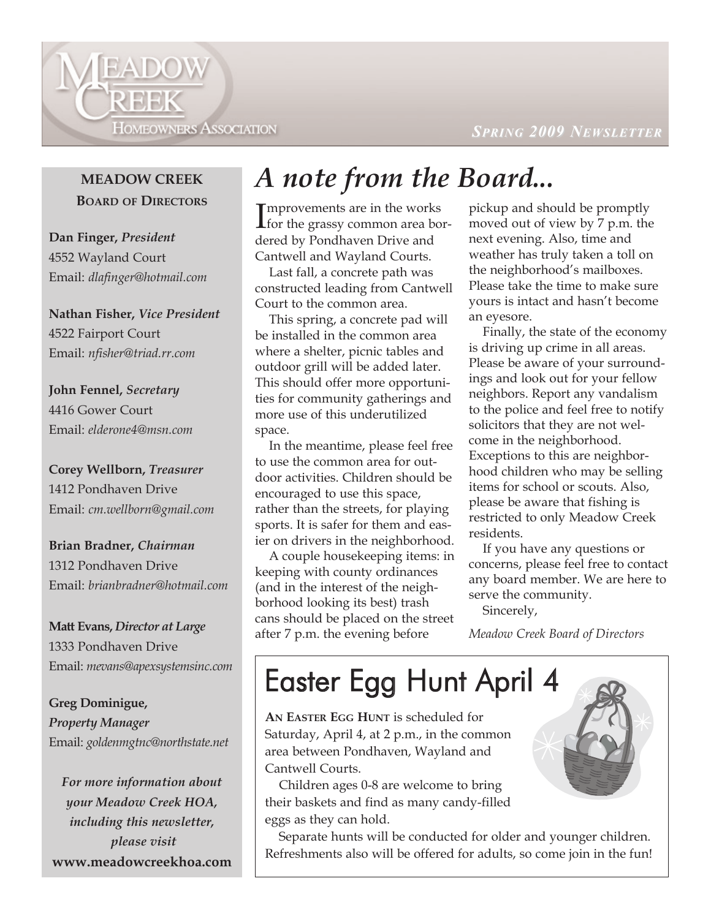**HOMEOWNERS ASSOCIATION** 

 $SPRING$  **2009** NEWSLETTER

#### **MEADOW CREEK BOARD OF DIRECTORS**

EADOW

REEK

**Dan Finger,** *President* 4552 Wayland Court Email: *dlafinger@hotmail.com*

**Nathan Fisher,** *Vice President* 4522 Fairport Court Email: *nfisher@triad.rr.com*

**John Fennel,** *Secretary* 4416 Gower Court Email: *elderone4@msn.com*

**Corey Wellborn,** *Treasurer* 1412 Pondhaven Drive Email: *cm.wellborn@gmail.com*

**Brian Bradner,** *Chairman* 1312 Pondhaven Drive Email: *brianbradner@hotmail.com*

**Matt Evans,** *Director at Large* 1333 Pondhaven Drive Email: *mevans@apexsystemsinc.com*

**Greg Dominigue,**  *Property Manager* Email: *goldenmgtnc@northstate.net*

*For more information about your Meadow Creek HOA, including this newsletter, please visit*  **www.meadowcreekhoa.com**

#### *A note from the Board...*

Improvements are in the works<br>for the grassy common area bormprovements are in the works dered by Pondhaven Drive and Cantwell and Wayland Courts.

Last fall, a concrete path was constructed leading from Cantwell Court to the common area.

This spring, a concrete pad will be installed in the common area where a shelter, picnic tables and outdoor grill will be added later. This should offer more opportunities for community gatherings and more use of this underutilized space.

In the meantime, please feel free to use the common area for outdoor activities. Children should be encouraged to use this space, rather than the streets, for playing sports. It is safer for them and easier on drivers in the neighborhood.

A couple housekeeping items: in keeping with county ordinances (and in the interest of the neighborhood looking its best) trash cans should be placed on the street after 7 p.m. the evening before

pickup and should be promptly moved out of view by 7 p.m. the next evening. Also, time and weather has truly taken a toll on the neighborhood's mailboxes. Please take the time to make sure yours is intact and hasn't become an eyesore.

Finally, the state of the economy is driving up crime in all areas. Please be aware of your surroundings and look out for your fellow neighbors. Report any vandalism to the police and feel free to notify solicitors that they are not welcome in the neighborhood. Exceptions to this are neighborhood children who may be selling items for school or scouts. Also, please be aware that fishing is restricted to only Meadow Creek residents.

If you have any questions or concerns, please feel free to contact any board member. We are here to serve the community.

Sincerely,

*Meadow Creek Board of Directors*

## Easter Egg Hunt April 4

**AN EASTER EGG HUNT** is scheduled for Saturday, April 4, at 2 p.m., in the common area between Pondhaven, Wayland and Cantwell Courts.

Children ages 0-8 are welcome to bring their baskets and find as many candy-filled eggs as they can hold.

Separate hunts will be conducted for older and younger children. Refreshments also will be offered for adults, so come join in the fun!